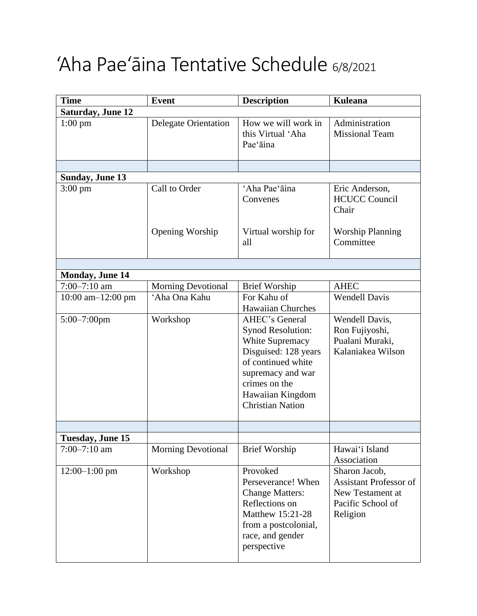## 'Aha Pae'āina Tentative Schedule 6/8/2021

| <b>Time</b>              | <b>Event</b>                | <b>Description</b>                                                                                                                                                                                      | <b>Kuleana</b>                                                                                      |
|--------------------------|-----------------------------|---------------------------------------------------------------------------------------------------------------------------------------------------------------------------------------------------------|-----------------------------------------------------------------------------------------------------|
| <b>Saturday, June 12</b> |                             |                                                                                                                                                                                                         |                                                                                                     |
| $1:00$ pm                | <b>Delegate Orientation</b> | How we will work in<br>this Virtual 'Aha<br>Pae'āina                                                                                                                                                    | Administration<br><b>Missional Team</b>                                                             |
|                          |                             |                                                                                                                                                                                                         |                                                                                                     |
| <b>Sunday, June 13</b>   |                             |                                                                                                                                                                                                         |                                                                                                     |
| $3:00 \text{ pm}$        | Call to Order               | 'Aha Pae'āina<br>Convenes                                                                                                                                                                               | Eric Anderson,<br><b>HCUCC Council</b><br>Chair                                                     |
|                          | Opening Worship             | Virtual worship for<br>all                                                                                                                                                                              | <b>Worship Planning</b><br>Committee                                                                |
|                          |                             |                                                                                                                                                                                                         |                                                                                                     |
| <b>Monday, June 14</b>   |                             |                                                                                                                                                                                                         |                                                                                                     |
| $7:00 - 7:10$ am         | <b>Morning Devotional</b>   | <b>Brief Worship</b>                                                                                                                                                                                    | <b>AHEC</b>                                                                                         |
| 10:00 am-12:00 pm        | 'Aha Ona Kahu               | For Kahu of<br><b>Hawaiian Churches</b>                                                                                                                                                                 | <b>Wendell Davis</b>                                                                                |
| $5:00 - 7:00$ pm         | Workshop                    | <b>AHEC's General</b><br><b>Synod Resolution:</b><br>White Supremacy<br>Disguised: 128 years<br>of continued white<br>supremacy and war<br>crimes on the<br>Hawaiian Kingdom<br><b>Christian Nation</b> | Wendell Davis,<br>Ron Fujiyoshi,<br>Pualani Muraki,<br>Kalaniakea Wilson                            |
|                          |                             |                                                                                                                                                                                                         |                                                                                                     |
| Tuesday, June 15         |                             |                                                                                                                                                                                                         |                                                                                                     |
| $7:00 - 7:10$ am         | <b>Morning Devotional</b>   | <b>Brief Worship</b>                                                                                                                                                                                    | Hawai'i Island<br>Association                                                                       |
| $12:00-1:00$ pm          | Workshop                    | Provoked<br>Perseverance! When<br><b>Change Matters:</b><br>Reflections on<br>Matthew 15:21-28<br>from a postcolonial,<br>race, and gender<br>perspective                                               | Sharon Jacob,<br><b>Assistant Professor of</b><br>New Testament at<br>Pacific School of<br>Religion |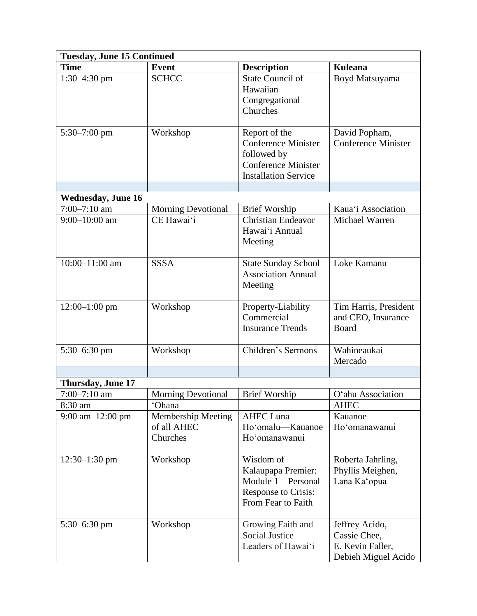| <b>Tuesday, June 15 Continued</b>               |                                                                |                                                                                                                         |                                                                           |  |  |  |
|-------------------------------------------------|----------------------------------------------------------------|-------------------------------------------------------------------------------------------------------------------------|---------------------------------------------------------------------------|--|--|--|
| <b>Time</b>                                     | <b>Event</b>                                                   | <b>Description</b>                                                                                                      | <b>Kuleana</b>                                                            |  |  |  |
| $1:30-4:30$ pm                                  | <b>SCHCC</b>                                                   | <b>State Council of</b><br>Hawaiian<br>Congregational<br>Churches                                                       | Boyd Matsuyama                                                            |  |  |  |
| $5:30 - 7:00$ pm                                | Workshop                                                       | Report of the<br><b>Conference Minister</b><br>followed by<br><b>Conference Minister</b><br><b>Installation Service</b> | David Popham,<br><b>Conference Minister</b>                               |  |  |  |
|                                                 |                                                                |                                                                                                                         |                                                                           |  |  |  |
| <b>Wednesday, June 16</b>                       |                                                                |                                                                                                                         |                                                                           |  |  |  |
| $7:00 - 7:10$ am<br>$9:00 - 10:00$ am           | <b>Morning Devotional</b><br>CE Hawai'i                        | <b>Brief Worship</b><br><b>Christian Endeavor</b><br>Hawai'i Annual<br>Meeting                                          | Kaua'i Association<br>Michael Warren                                      |  |  |  |
| 10:00-11:00 am                                  | <b>SSSA</b>                                                    | <b>State Sunday School</b><br><b>Association Annual</b><br>Meeting                                                      | Loke Kamanu                                                               |  |  |  |
| $12:00-1:00$ pm                                 | Workshop                                                       | Property-Liability<br>Commercial<br><b>Insurance Trends</b>                                                             | Tim Harris, President<br>and CEO, Insurance<br><b>Board</b>               |  |  |  |
| $5:30-6:30$ pm                                  | Workshop                                                       | Children's Sermons                                                                                                      | Wahineaukai<br>Mercado                                                    |  |  |  |
|                                                 |                                                                |                                                                                                                         |                                                                           |  |  |  |
| Thursday, June 17                               |                                                                |                                                                                                                         |                                                                           |  |  |  |
| $7:00 - 7:10$ am                                | <b>Morning Devotional</b>                                      | <b>Brief Worship</b>                                                                                                    | O'ahu Association                                                         |  |  |  |
| 8:30 am<br>$9:00 \text{ am} - 12:00 \text{ pm}$ | 'Ohana<br><b>Membership Meeting</b><br>of all AHEC<br>Churches | <b>AHEC Luna</b><br>Ho'omalu-Kauanoe<br>Ho'omanawanui                                                                   | <b>AHEC</b><br>Kauanoe<br>Ho'omanawanui                                   |  |  |  |
| $12:30-1:30$ pm                                 | Workshop                                                       | Wisdom of<br>Kalaupapa Premier:<br>Module 1 – Personal<br>Response to Crisis:<br>From Fear to Faith                     | Roberta Jahrling,<br>Phyllis Meighen,<br>Lana Ka'opua                     |  |  |  |
| $5:30-6:30$ pm                                  | Workshop                                                       | Growing Faith and<br><b>Social Justice</b><br>Leaders of Hawai'i                                                        | Jeffrey Acido,<br>Cassie Chee,<br>E. Kevin Faller,<br>Debieh Miguel Acido |  |  |  |